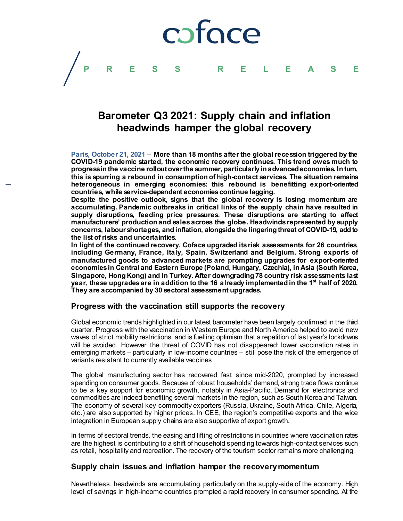

# **Barometer Q3 2021: Supply chain and inflation headwinds hamper the global recovery**

**Paris, October 21, 2021** – **More than 18 months after the global recession triggered by the COVID-19 pandemic started, the economic recovery continues. This trend owes much to progress in the vaccine rollout over the summer, particularly in advanced economies. In turn, this is spurring a rebound in consumption of high-contact services. The situation remains heterogeneous in emerging economies: this rebound is benefitting export-oriented countries, while service-dependent economies continue lagging.**

**Despite the positive outlook, signs that the global recovery is losing momentum are accumulating. Pandemic outbreaks in critical links of the supply chain have resulted in supply disruptions, feeding price pressures. These disruptions are starting to affect manufacturers' production and sales across the globe. Headwinds represented by supply concerns, labour shortages, and inflation, alongside the lingering threat of COVID-19, add to the list of risks and uncertainties.**

**In light of the continued recovery, Coface upgraded its risk assessments for 26 countries, including Germany, France, Italy, Spain, Switzerland and Belgium. Strong exports of manufactured goods to advanced markets are prompting upgrades for export-oriented economies in Central and Eastern Europe (Poland, Hungary, Czechia), in Asia (South Korea, Singapore, Hong Kong) and in Turkey. After downgrading 78 country risk assessments last year, these upgrades are in addition to the 16 already implemented in the 1st half of 2020. They are accompanied by 30 sectoral assessment upgrades.**

## **Progress with the vaccination still supports the recovery**

Global economic trends highlighted in our latest barometer have been largely confirmed in the third quarter. Progress with the vaccination in Western Europe and North America helped to avoid new waves of strict mobility restrictions, and is fuelling optimism that a repetition of last year's lockdowns will be avoided. However the threat of COVID has not disappeared: lower vaccination rates in emerging markets – particularly in low-income countries – still pose the risk of the emergence of variants resistant to currently available vaccines.

The global manufacturing sector has recovered fast since mid-2020, prompted by increased spending on consumer goods. Because of robust households' demand, strong trade flows continue to be a key support for economic growth, notably in Asia-Pacific. Demand for electronics and commodities are indeed benefiting several markets in the region, such as South Korea and Taiwan. The economy of several key commodity exporters (Russia, Ukraine, South Africa, Chile, Algeria, etc.) are also supported by higher prices. In CEE, the region's competitive exports and the wide integration in European supply chains are also supportive of export growth.

In terms of sectoral trends, the easing and lifting of restrictions in countries where vaccination rates are the highest is contributing to a shift of household spending towards high-contact services such as retail, hospitality and recreation. The recovery of the tourism sector remains more challenging.

## **Supply chain issues and inflation hamper the recovery momentum**

Nevertheless, headwinds are accumulating, particularly on the supply-side of the economy. High level of savings in high-income countries prompted a rapid recovery in consumer spending. At the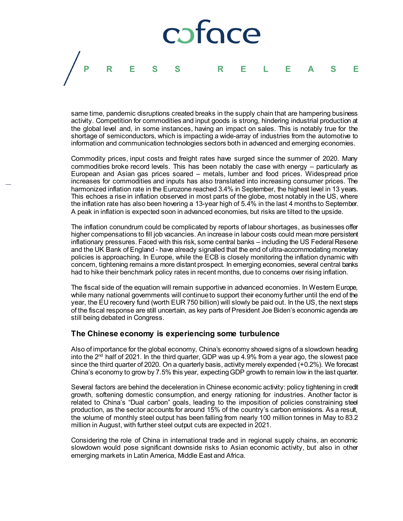

same time, pandemic disruptions created breaks in the supply chain that are hampering business activity. Competition for commodities and input goods is strong, hindering industrial production at the global level and, in some instances, having an impact on sales. This is notably true for the shortage of semiconductors, which is impacting a wide-array of industries from the automotive to information and communication technologies sectors both in advanced and emerging economies.

Commodity prices, input costs and freight rates have surged since the summer of 2020. Many commodities broke record levels. This has been notably the case with energy – particularly as European and Asian gas prices soared – metals, lumber and food prices. Widespread price increases for commodities and inputs has also translated into increasing consumer prices. The harmonized inflation rate in the Eurozone reached 3.4% in September, the highest level in 13 years. This echoes a rise in inflation observed in most parts of the globe, most notably in the US, where the inflation rate has also been hovering a 13-year high of 5.4% in the last 4 months to September. A peak in inflation is expected soon in advanced economies, but risks are tilted to the upside.

The inflation conundrum could be complicated by reports of labour shortages, as businesses offer higher compensations to fill job vacancies. An increase in labour costs could mean more persistent inflationary pressures. Faced with this risk, some central banks – including the US Federal Reserve and the UK Bank of England - have already signalled that the end of ultra-accommodating monetary policies is approaching. In Europe, while the ECB is closely monitoring the inflation dynamic with concern, tightening remains a more distant prospect. In emerging economies, several central banks had to hike their benchmark policy rates in recent months, due to concerns over rising inflation.

The fiscal side of the equation will remain supportive in advanced economies. In Western Europe, while many national governments will continue to support their economy further until the end of the year, the EU recovery fund (worth EUR 750 billion) will slowly be paid out. In the US, the next steps of the fiscal response are still uncertain, as key parts of President Joe Biden's economic agenda are still being debated in Congress.

## **The Chinese economy is experiencing some turbulence**

Also of importance for the global economy, China's economy showed signs of a slowdown heading into the  $2<sup>nd</sup>$  half of 2021. In the third quarter, GDP was up 4.9% from a year ago, the slowest pace since the third quarter of 2020. On a quarterly basis, activity merely expended (+0.2%). We forecast China's economy to grow by 7.5% this year, expecting GDP growth to remain low in the last quarter.

Several factors are behind the deceleration in Chinese economic activity: policy tightening in credit growth, softening domestic consumption, and energy rationing for industries. Another factor is related to China's "Dual carbon" goals, leading to the imposition of policies constraining steel production, as the sector accounts for around 15% of the country's carbon emissions. As a result, the volume of monthly steel output has been falling from nearly 100 million tonnes in May to 83.2 million in August, with further steel output cuts are expected in 2021.

Considering the role of China in international trade and in regional supply chains, an economic slowdown would pose significant downside risks to Asian economic activity, but also in other emerging markets in Latin America, Middle East and Africa.